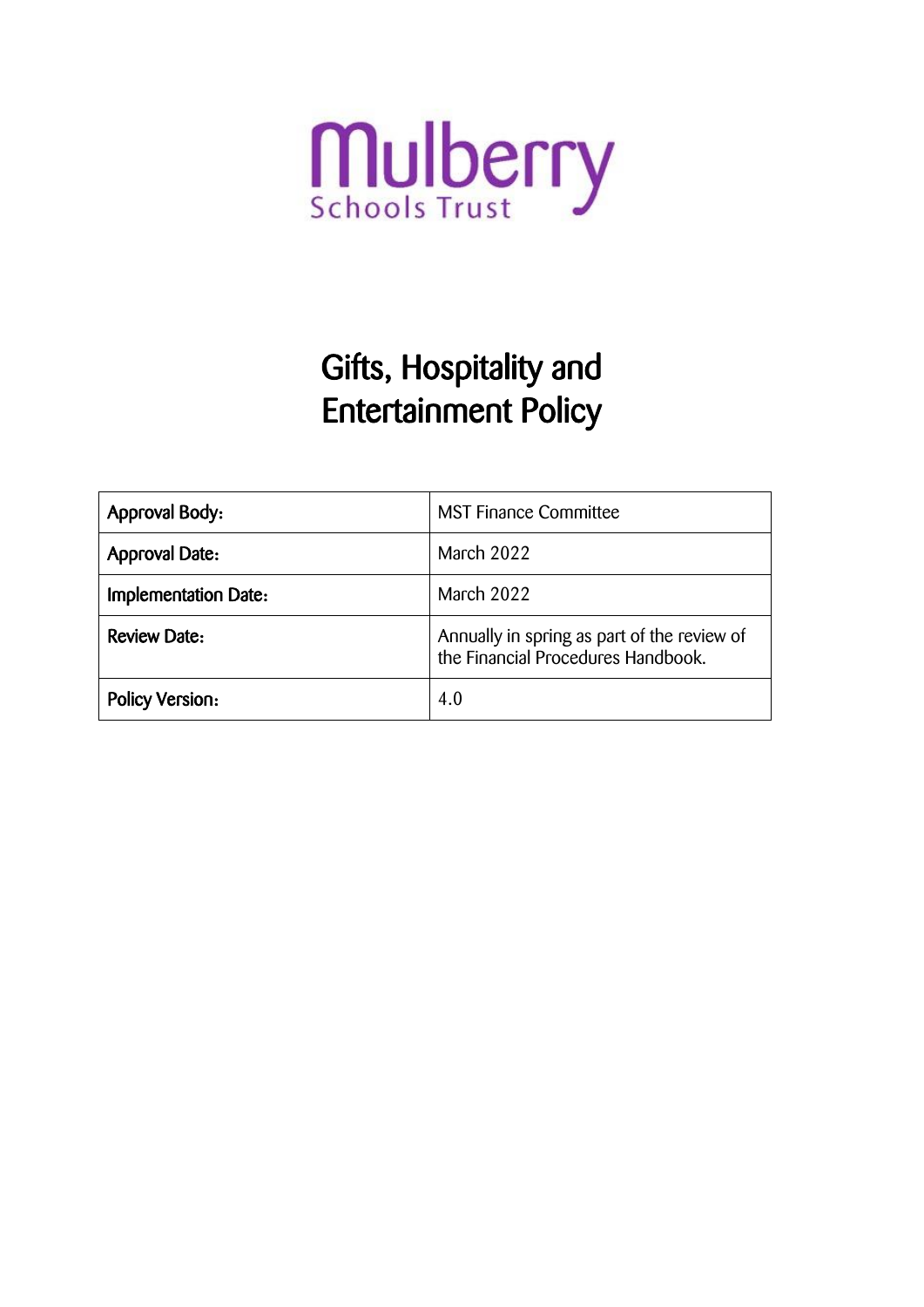

# Gifts, Hospitality and Entertainment Policy

| <b>Approval Body:</b>       | <b>MST Finance Committee</b>                                                      |
|-----------------------------|-----------------------------------------------------------------------------------|
| <b>Approval Date:</b>       | March 2022                                                                        |
| <b>Implementation Date:</b> | March 2022                                                                        |
| <b>Review Date:</b>         | Annually in spring as part of the review of<br>the Financial Procedures Handbook. |
| <b>Policy Version:</b>      | 4.0                                                                               |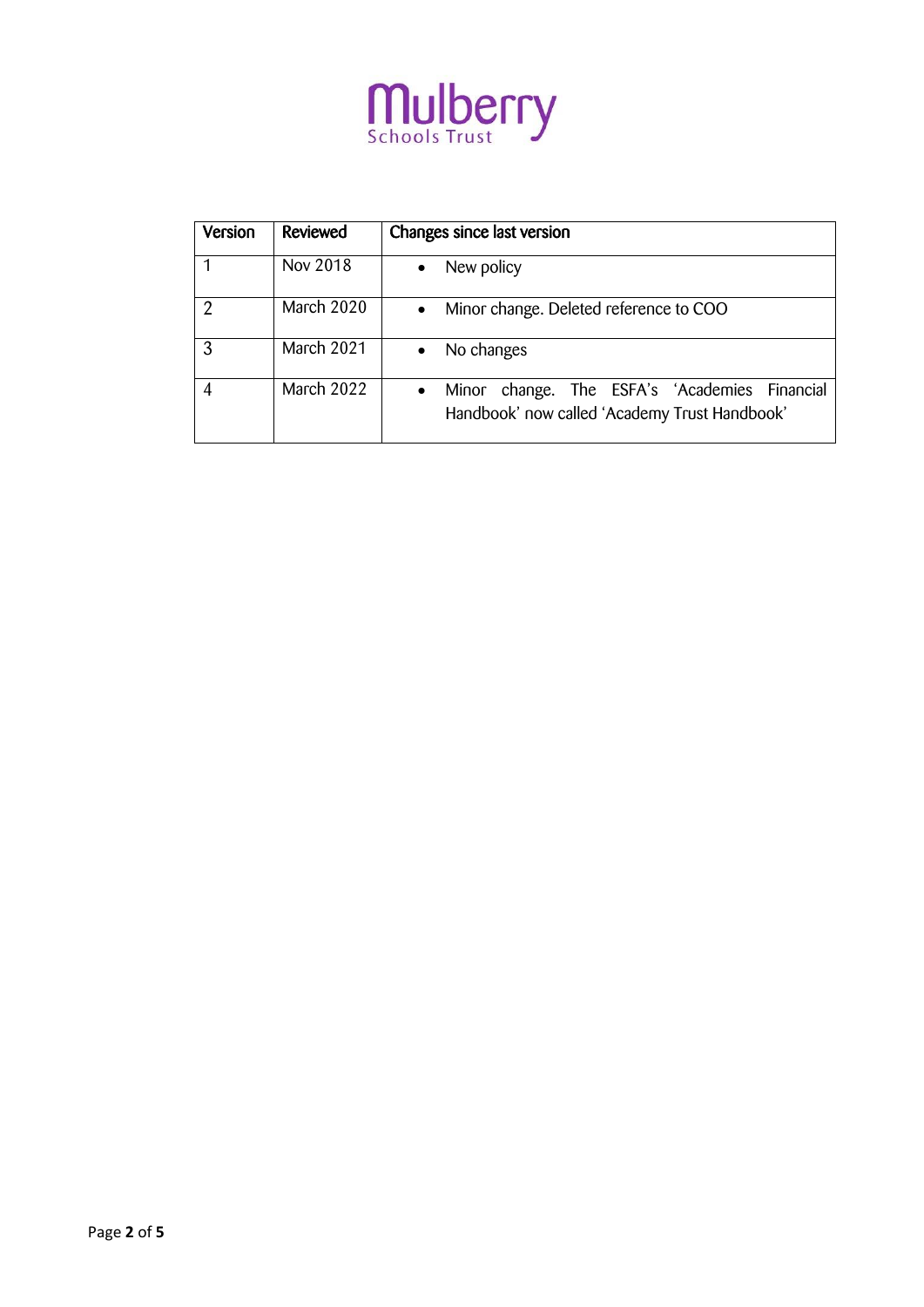

| Version | Reviewed   | Changes since last version                                                                                  |
|---------|------------|-------------------------------------------------------------------------------------------------------------|
|         | Nov 2018   | New policy<br>$\bullet$                                                                                     |
| 2       | March 2020 | Minor change. Deleted reference to COO<br>$\bullet$                                                         |
| २       | March 2021 | No changes                                                                                                  |
|         | March 2022 | Minor change. The ESFA's 'Academies Financial<br>$\bullet$<br>Handbook' now called 'Academy Trust Handbook' |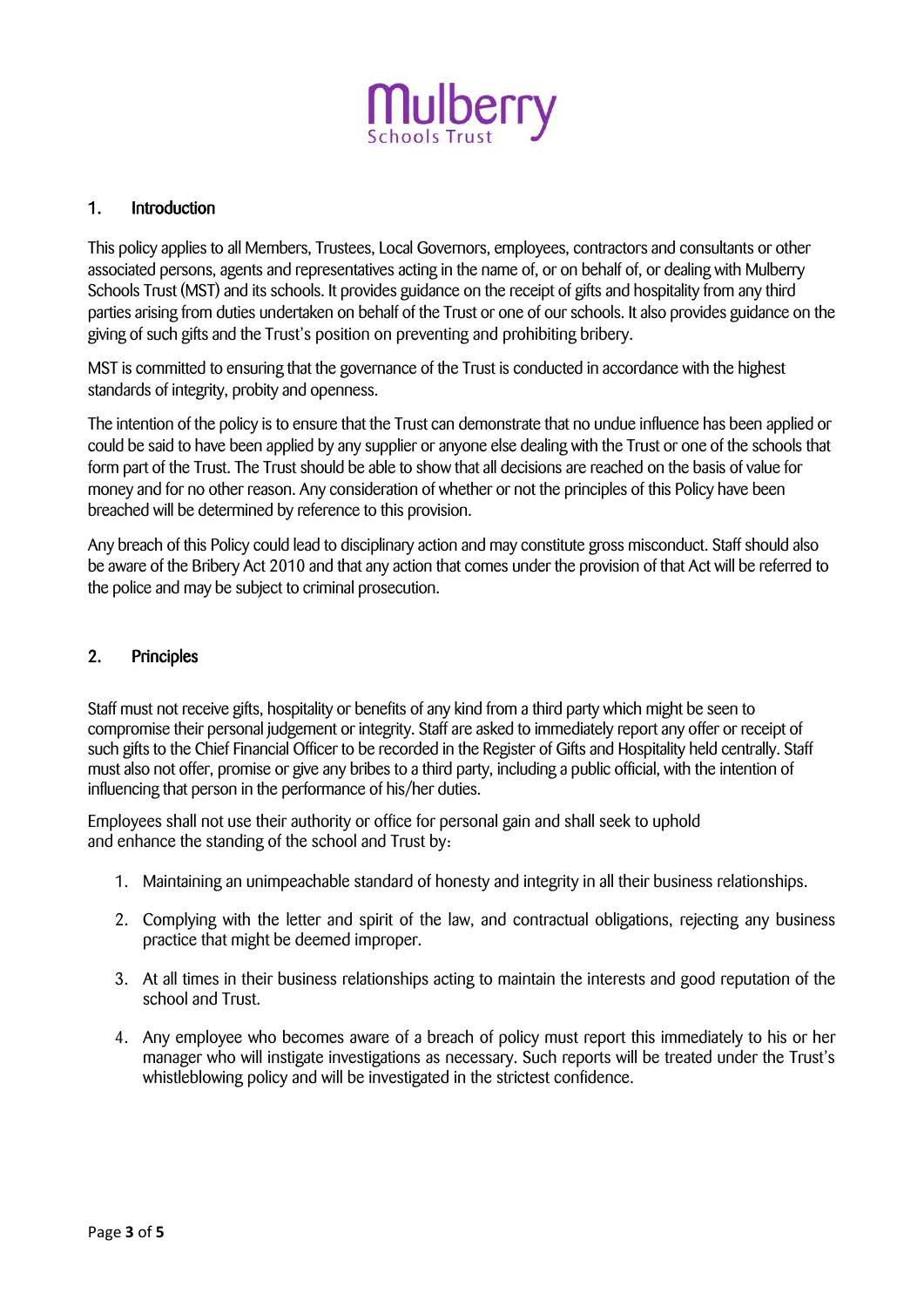

# 1. Introduction

This policy applies to all Members, Trustees, Local Governors, employees, contractors and consultants or other associated persons, agents and representatives acting in the name of, or on behalf of, or dealing with Mulberry Schools Trust (MST) and its schools. It provides guidance on the receipt of gifts and hospitality from any third parties arising from duties undertaken on behalf of the Trust or one of our schools. It also provides guidance on the giving of such gifts and the Trust's position on preventing and prohibiting bribery.

MST is committed to ensuring that the governance of the Trust is conducted in accordance with the highest standards of integrity, probity and openness.

The intention of the policy is to ensure that the Trust can demonstrate that no undue influence has been applied or could be said to have been applied by any supplier or anyone else dealing with the Trust or one of the schools that form part of the Trust. The Trust should be able to show that all decisions are reached on the basis of value for money and for no other reason. Any consideration of whether or not the principles of this Policy have been breached will be determined by reference to this provision.

Any breach of this Policy could lead to disciplinary action and may constitute gross misconduct. Staff should also be aware of the Bribery Act 2010 and that any action that comes under the provision of that Act will be referred to the police and may be subject to criminal prosecution.

# 2. Principles

Staff must not receive gifts, hospitality or benefits of any kind from a third party which might be seen to compromise their personal judgement or integrity. Staff are asked to immediately report any offer or receipt of such gifts to the Chief Financial Officer to be recorded in the Register of Gifts and Hospitality held centrally. Staff must also not offer, promise or give any bribes to a third party, including a public official, with the intention of influencing that person in the performance of his/her duties.

Employees shall not use their authority or office for personal gain and shall seek to uphold and enhance the standing of the school and Trust by:

- 1. Maintaining an unimpeachable standard of honesty and integrity in all their business relationships.
- 2. Complying with the letter and spirit of the law, and contractual obligations, rejecting any business practice that might be deemed improper.
- 3. At all times in their business relationships acting to maintain the interests and good reputation of the school and Trust.
- 4. Any employee who becomes aware of a breach of policy must report this immediately to his or her manager who will instigate investigations as necessary. Such reports will be treated under the Trust's whistleblowing policy and will be investigated in the strictest confidence.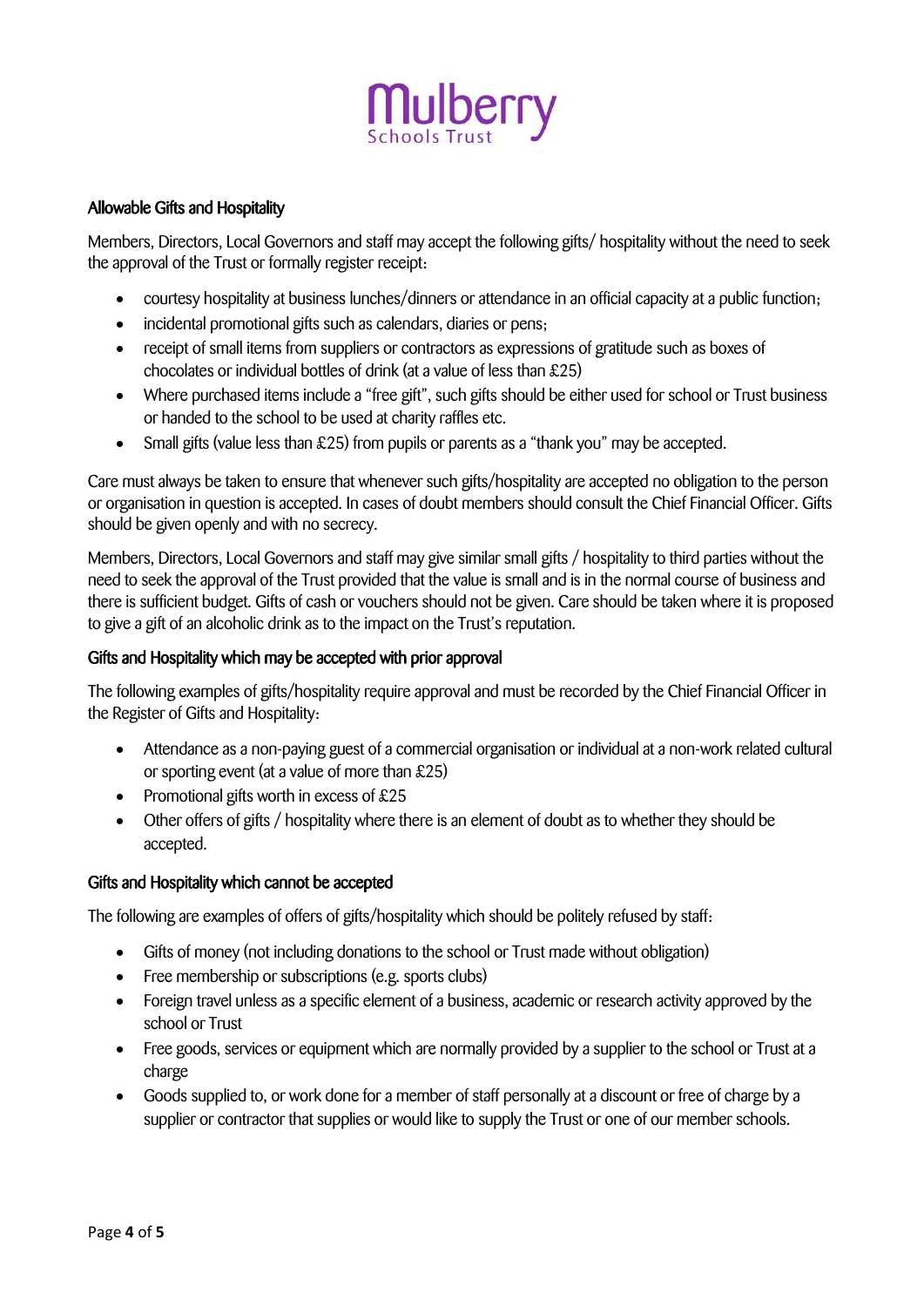

#### Allowable Gifts and Hospitality

Members, Directors, Local Governors and staff may accept the following gifts/ hospitality without the need to seek the approval of the Trust or formally register receipt:

- courtesy hospitality at business lunches/dinners or attendance in an official capacity at a public function;
- incidental promotional gifts such as calendars, diaries or pens;
- receipt of small items from suppliers or contractors as expressions of gratitude such as boxes of chocolates or individual bottles of drink (at a value of less than £25)
- Where purchased items include a "free gift", such gifts should be either used for school or Trust business or handed to the school to be used at charity raffles etc.
- Small gifts (value less than £25) from pupils or parents as a "thank you" may be accepted.

Care must always be taken to ensure that whenever such gifts/hospitality are accepted no obligation to the person or organisation in question is accepted. In cases of doubt members should consult the Chief Financial Officer. Gifts should be given openly and with no secrecy.

Members, Directors, Local Governors and staff may give similar small gifts / hospitality to third parties without the need to seek the approval of the Trust provided that the value is small and is in the normal course of business and there is sufficient budget. Gifts of cash or vouchers should not be given. Care should be taken where it is proposed to give a gift of an alcoholic drink as to the impact on the Trust's reputation.

#### Gifts and Hospitality which may be accepted with prior approval

The following examples of gifts/hospitality require approval and must be recorded by the Chief Financial Officer in the Register of Gifts and Hospitality:

- Attendance as a non-paying guest of a commercial organisation or individual at a non-work related cultural or sporting event (at a value of more than £25)
- Promotional gifts worth in excess of  $£25$
- Other offers of gifts / hospitality where there is an element of doubt as to whether they should be accepted.

#### Gifts and Hospitality which cannot be accepted

The following are examples of offers of gifts/hospitality which should be politely refused by staff:

- Gifts of money (not including donations to the school or Trust made without obligation)
- Free membership or subscriptions (e.g. sports clubs)
- Foreign travel unless as a specific element of a business, academic or research activity approved by the school or Trust
- Free goods, services or equipment which are normally provided by a supplier to the school or Trust at a charge
- Goods supplied to, or work done for a member of staff personally at a discount or free of charge by a supplier or contractor that supplies or would like to supply the Trust or one of our member schools.